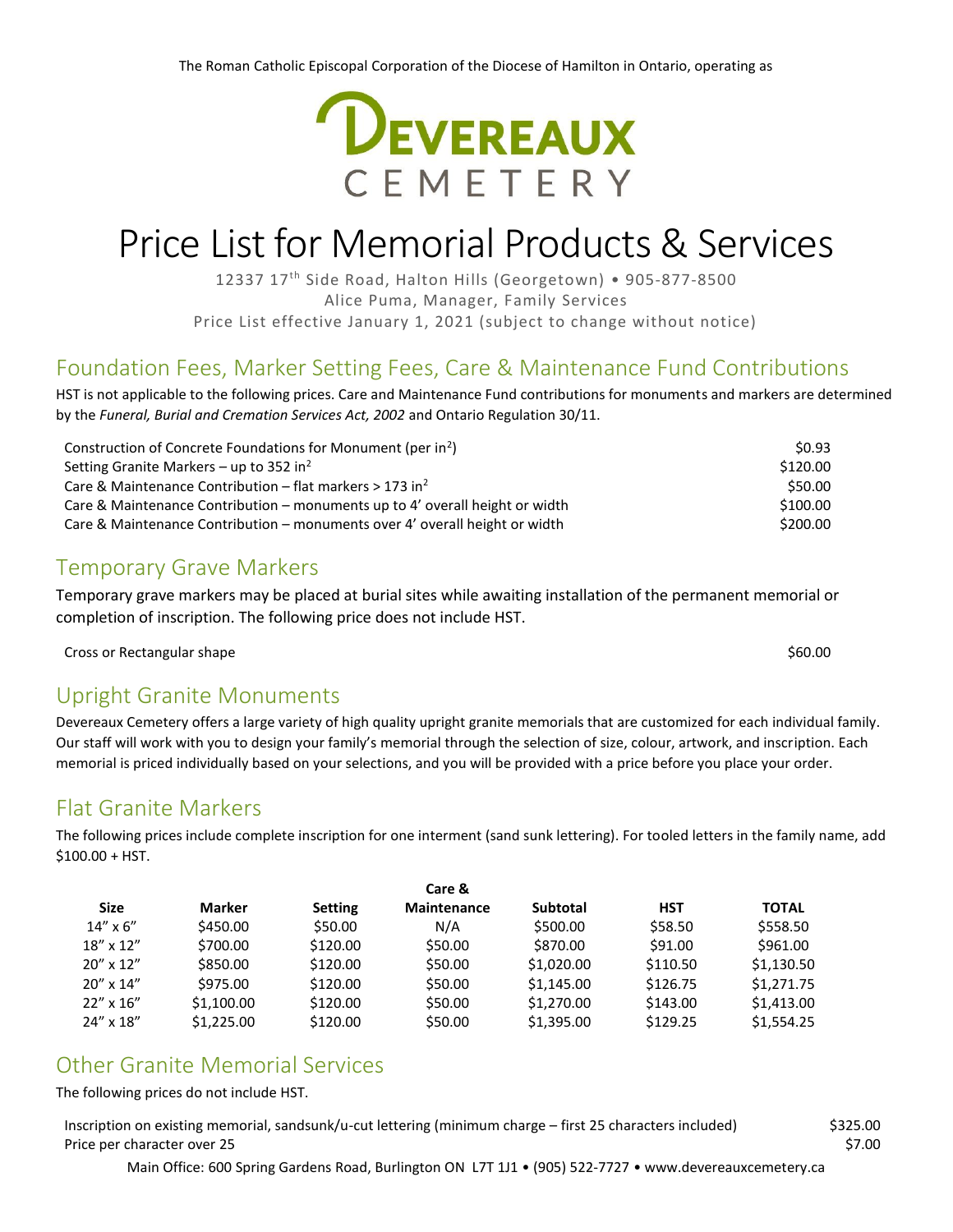

# Price List for Memorial Products & Services

12337 17<sup>th</sup> Side Road, Halton Hills (Georgetown) • 905-877-8500 Alice Puma, Manager, Family Services Price List effective January 1, 2021 (subject to change without notice)

# Foundation Fees, Marker Setting Fees, Care & Maintenance Fund Contributions

HST is not applicable to the following prices. Care and Maintenance Fund contributions for monuments and markers are determined by the *Funeral, Burial and Cremation Services Act, 2002* and Ontario Regulation 30/11.

| Construction of Concrete Foundations for Monument (per in <sup>2</sup> )     | \$0.93   |
|------------------------------------------------------------------------------|----------|
| Setting Granite Markers – up to 352 in <sup>2</sup>                          | \$120.00 |
| Care & Maintenance Contribution – flat markers $> 173$ in <sup>2</sup>       | \$50.00  |
| Care & Maintenance Contribution – monuments up to 4' overall height or width | \$100.00 |
| Care & Maintenance Contribution – monuments over 4' overall height or width  | \$200.00 |

# Temporary Grave Markers

Temporary grave markers may be placed at burial sites while awaiting installation of the permanent memorial or completion of inscription. The following price does not include HST.

Cross or Rectangular shape \$60.00

#### Upright Granite Monuments

Devereaux Cemetery offers a large variety of high quality upright granite memorials that are customized for each individual family. Our staff will work with you to design your family's memorial through the selection of size, colour, artwork, and inscription. Each memorial is priced individually based on your selections, and you will be provided with a price before you place your order.

# Flat Granite Markers

The following prices include complete inscription for one interment (sand sunk lettering). For tooled letters in the family name, add \$100.00 + HST.

| Care &             |            |                |                    |                 |            |              |
|--------------------|------------|----------------|--------------------|-----------------|------------|--------------|
| <b>Size</b>        | Marker     | <b>Setting</b> | <b>Maintenance</b> | <b>Subtotal</b> | <b>HST</b> | <b>TOTAL</b> |
| $14'' \times 6''$  | \$450.00   | \$50.00        | N/A                | \$500.00        | \$58.50    | \$558.50     |
| $18'' \times 12''$ | \$700.00   | \$120.00       | \$50.00            | \$870.00        | \$91.00    | \$961.00     |
| $20'' \times 12''$ | \$850.00   | \$120.00       | \$50.00            | \$1,020.00      | \$110.50   | \$1,130.50   |
| $20'' \times 14''$ | \$975.00   | \$120.00       | \$50.00            | \$1,145.00      | \$126.75   | \$1,271.75   |
| $22'' \times 16''$ | \$1,100.00 | \$120.00       | \$50.00            | \$1,270.00      | \$143.00   | \$1,413.00   |
| 24" x 18"          | \$1.225.00 | \$120.00       | \$50.00            | \$1,395.00      | \$129.25   | \$1.554.25   |

### Other Granite Memorial Services

The following prices do not include HST.

Inscription on existing memorial, sandsunk/u-cut lettering (minimum charge – first 25 characters included) \$325.00 Price per character over 25 \$7.00

Main Office: 600 Spring Gardens Road, Burlington ON L7T 1J1 • (905) 522-7727 • www.devereauxcemetery.ca